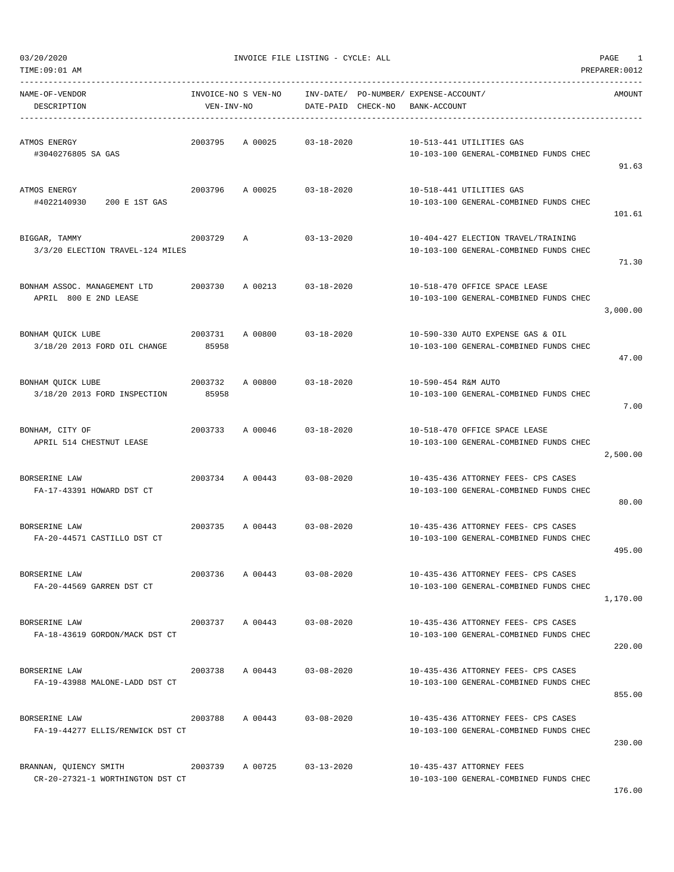$03/20/2020$  PAGE 1

| TIME:09:01 AM                                              |                                   |                            |                    |                                                       |                                                                               | PREPARER: 0012 |
|------------------------------------------------------------|-----------------------------------|----------------------------|--------------------|-------------------------------------------------------|-------------------------------------------------------------------------------|----------------|
| NAME-OF-VENDOR<br>DESCRIPTION                              | INVOICE-NO S VEN-NO<br>VEN-INV-NO |                            | DATE-PAID CHECK-NO | INV-DATE/ PO-NUMBER/ EXPENSE-ACCOUNT/<br>BANK-ACCOUNT |                                                                               | AMOUNT         |
| ATMOS ENERGY<br>#3040276805 SA GAS                         | 2003795                           | A 00025                    | $03 - 18 - 2020$   |                                                       | 10-513-441 UTILITIES GAS<br>10-103-100 GENERAL-COMBINED FUNDS CHEC            | 91.63          |
| ATMOS ENERGY<br>#4022140930<br>200 E 1ST GAS               | 2003796                           | A 00025                    | 03-18-2020         |                                                       | 10-518-441 UTILITIES GAS<br>10-103-100 GENERAL-COMBINED FUNDS CHEC            | 101.61         |
| BIGGAR, TAMMY<br>3/3/20 ELECTION TRAVEL-124 MILES          | 2003729                           | Α                          | $03 - 13 - 2020$   |                                                       | 10-404-427 ELECTION TRAVEL/TRAINING<br>10-103-100 GENERAL-COMBINED FUNDS CHEC | 71.30          |
| BONHAM ASSOC. MANAGEMENT LTD<br>APRIL 800 E 2ND LEASE      |                                   | 2003730 A 00213 03-18-2020 |                    |                                                       | 10-518-470 OFFICE SPACE LEASE<br>10-103-100 GENERAL-COMBINED FUNDS CHEC       | 3,000.00       |
| BONHAM QUICK LUBE<br>3/18/20 2013 FORD OIL CHANGE          | 2003731<br>85958                  | A 00800                    | $03 - 18 - 2020$   |                                                       | 10-590-330 AUTO EXPENSE GAS & OIL<br>10-103-100 GENERAL-COMBINED FUNDS CHEC   | 47.00          |
| BONHAM QUICK LUBE<br>3/18/20 2013 FORD INSPECTION          | 2003732<br>85958                  | A 00800                    | 03-18-2020         | 10-590-454 R&M AUTO                                   | 10-103-100 GENERAL-COMBINED FUNDS CHEC                                        | 7.00           |
| BONHAM, CITY OF<br>APRIL 514 CHESTNUT LEASE                | 2003733                           | A 00046                    | 03-18-2020         |                                                       | 10-518-470 OFFICE SPACE LEASE<br>10-103-100 GENERAL-COMBINED FUNDS CHEC       | 2,500.00       |
| BORSERINE LAW<br>FA-17-43391 HOWARD DST CT                 | 2003734                           | A 00443 03-08-2020         |                    |                                                       | 10-435-436 ATTORNEY FEES- CPS CASES<br>10-103-100 GENERAL-COMBINED FUNDS CHEC | 80.00          |
| BORSERINE LAW<br>FA-20-44571 CASTILLO DST CT               | 2003735                           | A 00443 03-08-2020         |                    |                                                       | 10-435-436 ATTORNEY FEES- CPS CASES<br>10-103-100 GENERAL-COMBINED FUNDS CHEC | 495.00         |
| BORSERINE LAW<br>FA-20-44569 GARREN DST CT                 | 2003736                           | A 00443                    | $03 - 08 - 2020$   |                                                       | 10-435-436 ATTORNEY FEES- CPS CASES<br>10-103-100 GENERAL-COMBINED FUNDS CHEC | 1,170.00       |
| BORSERINE LAW<br>FA-18-43619 GORDON/MACK DST CT            |                                   | 2003737 A 00443            | $03 - 08 - 2020$   |                                                       | 10-435-436 ATTORNEY FEES- CPS CASES<br>10-103-100 GENERAL-COMBINED FUNDS CHEC | 220.00         |
| BORSERINE LAW<br>FA-19-43988 MALONE-LADD DST CT            | 2003738                           | A 00443                    | $03 - 08 - 2020$   |                                                       | 10-435-436 ATTORNEY FEES- CPS CASES<br>10-103-100 GENERAL-COMBINED FUNDS CHEC | 855.00         |
| BORSERINE LAW<br>FA-19-44277 ELLIS/RENWICK DST CT          | 2003788                           | A 00443                    | $03 - 08 - 2020$   |                                                       | 10-435-436 ATTORNEY FEES- CPS CASES<br>10-103-100 GENERAL-COMBINED FUNDS CHEC | 230.00         |
| BRANNAN, QUIENCY SMITH<br>CR-20-27321-1 WORTHINGTON DST CT | 2003739                           | A 00725                    | 03-13-2020         |                                                       | 10-435-437 ATTORNEY FEES<br>10-103-100 GENERAL-COMBINED FUNDS CHEC            |                |

176.00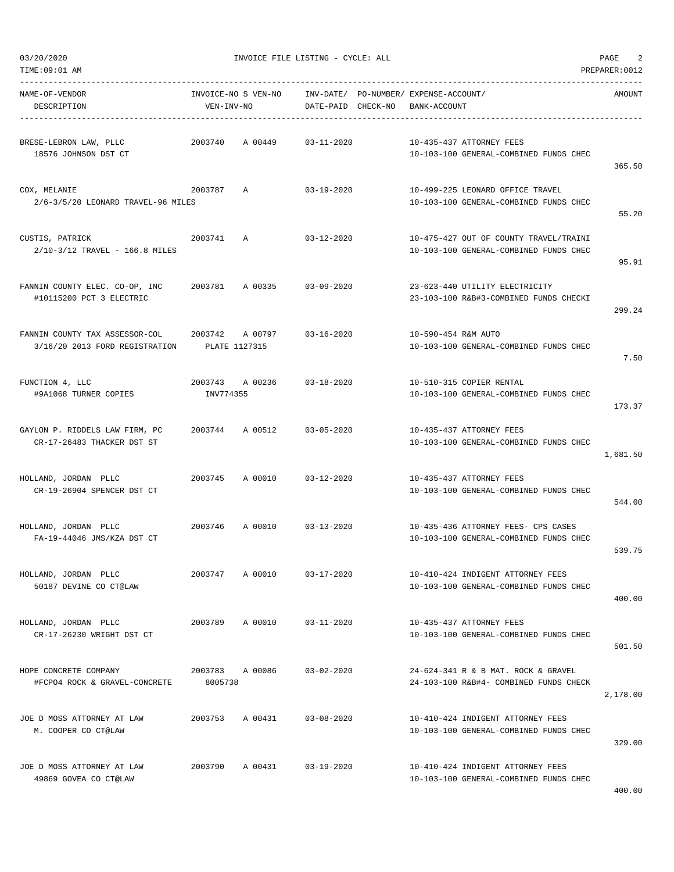TIME:09:01 AM PREPARER:0012

03/20/2020 INVOICE FILE LISTING - CYCLE: ALL PAGE 2

| NAME-OF-VENDOR<br>DESCRIPTION                                    | VEN-INV-NO                   | INVOICE-NO S VEN-NO |                  | INV-DATE/ PO-NUMBER/ EXPENSE-ACCOUNT/<br>DATE-PAID CHECK-NO BANK-ACCOUNT |                                                                                  | AMOUNT   |
|------------------------------------------------------------------|------------------------------|---------------------|------------------|--------------------------------------------------------------------------|----------------------------------------------------------------------------------|----------|
| BRESE-LEBRON LAW, PLLC<br>18576 JOHNSON DST CT                   | 2003740                      | A 00449             | 03-11-2020       |                                                                          | 10-435-437 ATTORNEY FEES<br>10-103-100 GENERAL-COMBINED FUNDS CHEC               | 365.50   |
| COX, MELANIE<br>2/6-3/5/20 LEONARD TRAVEL-96 MILES               | 2003787                      | A                   | $03 - 19 - 2020$ |                                                                          | 10-499-225 LEONARD OFFICE TRAVEL<br>10-103-100 GENERAL-COMBINED FUNDS CHEC       | 55.20    |
| CUSTIS, PATRICK<br>2/10-3/12 TRAVEL - 166.8 MILES                | 2003741                      | A                   | $03 - 12 - 2020$ |                                                                          | 10-475-427 OUT OF COUNTY TRAVEL/TRAINI<br>10-103-100 GENERAL-COMBINED FUNDS CHEC | 95.91    |
| FANNIN COUNTY ELEC. CO-OP, INC<br>#10115200 PCT 3 ELECTRIC       | 2003781                      | A 00335             | $03 - 09 - 2020$ |                                                                          | 23-623-440 UTILITY ELECTRICITY<br>23-103-100 R&B#3-COMBINED FUNDS CHECKI         | 299.24   |
| FANNIN COUNTY TAX ASSESSOR-COL<br>3/16/20 2013 FORD REGISTRATION | 2003742<br>PLATE 1127315     | A 00797             | $03 - 16 - 2020$ | 10-590-454 R&M AUTO                                                      | 10-103-100 GENERAL-COMBINED FUNDS CHEC                                           | 7.50     |
| FUNCTION 4, LLC<br>#9A1068 TURNER COPIES                         | 2003743 A 00236<br>INV774355 |                     | $03 - 18 - 2020$ |                                                                          | 10-510-315 COPIER RENTAL<br>10-103-100 GENERAL-COMBINED FUNDS CHEC               | 173.37   |
| GAYLON P. RIDDELS LAW FIRM, PC<br>CR-17-26483 THACKER DST ST     | 2003744                      | A 00512             | $03 - 05 - 2020$ |                                                                          | 10-435-437 ATTORNEY FEES<br>10-103-100 GENERAL-COMBINED FUNDS CHEC               | 1,681.50 |
| HOLLAND, JORDAN PLLC<br>CR-19-26904 SPENCER DST CT               | 2003745                      | A 00010             | 03-12-2020       |                                                                          | 10-435-437 ATTORNEY FEES<br>10-103-100 GENERAL-COMBINED FUNDS CHEC               | 544.00   |
| HOLLAND, JORDAN PLLC<br>FA-19-44046 JMS/KZA DST CT               | 2003746                      | A 00010             | $03 - 13 - 2020$ |                                                                          | 10-435-436 ATTORNEY FEES- CPS CASES<br>10-103-100 GENERAL-COMBINED FUNDS CHEC    | 539.75   |
| HOLLAND, JORDAN PLLC<br>50187 DEVINE CO CT@LAW                   | 2003747                      | A 00010             | $03 - 17 - 2020$ |                                                                          | 10-410-424 INDIGENT ATTORNEY FEES<br>10-103-100 GENERAL-COMBINED FUNDS CHEC      | 400.00   |
| HOLLAND, JORDAN PLLC<br>CR-17-26230 WRIGHT DST CT                | 2003789                      | A 00010             | $03 - 11 - 2020$ |                                                                          | 10-435-437 ATTORNEY FEES<br>10-103-100 GENERAL-COMBINED FUNDS CHEC               | 501.50   |
| HOPE CONCRETE COMPANY<br>#FCPO4 ROCK & GRAVEL-CONCRETE           | 2003783 A 00086<br>8005738   |                     | $03 - 02 - 2020$ |                                                                          | 24-624-341 R & B MAT. ROCK & GRAVEL<br>24-103-100 R&B#4- COMBINED FUNDS CHECK    | 2,178.00 |
| JOE D MOSS ATTORNEY AT LAW<br>M. COOPER CO CT@LAW                | 2003753                      | A 00431             | $03 - 08 - 2020$ |                                                                          | 10-410-424 INDIGENT ATTORNEY FEES<br>10-103-100 GENERAL-COMBINED FUNDS CHEC      | 329.00   |
| JOE D MOSS ATTORNEY AT LAW<br>49869 GOVEA CO CT@LAW              | 2003790                      | A 00431             | 03-19-2020       |                                                                          | 10-410-424 INDIGENT ATTORNEY FEES<br>10-103-100 GENERAL-COMBINED FUNDS CHEC      |          |

400.00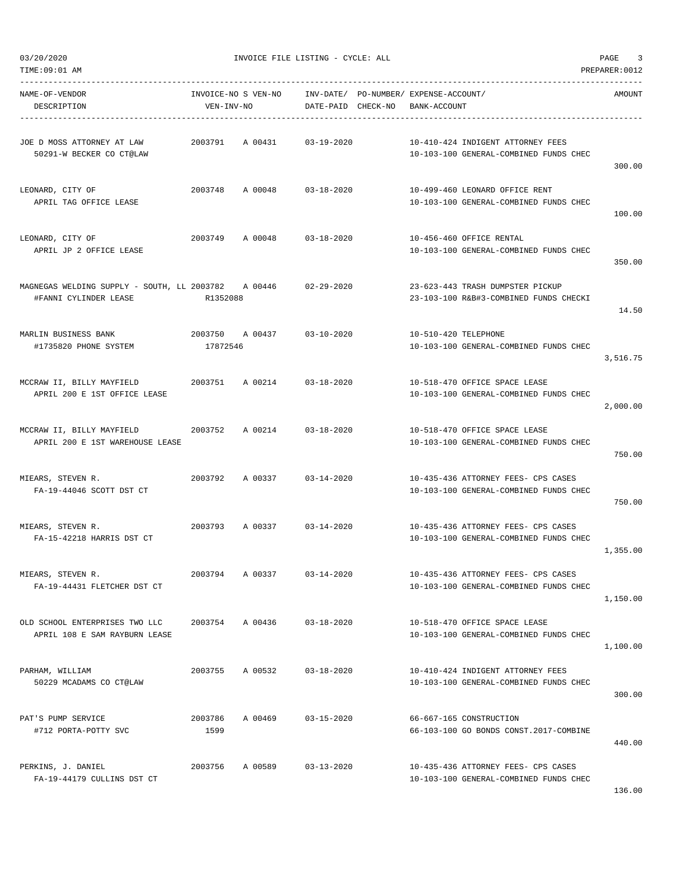$03/20/2020$  PAGE 3

| NAME-OF-VENDOR<br>DESCRIPTION                                                                       | VEN-INV-NO      | INVOICE-NO S VEN-NO INV-DATE/ PO-NUMBER/ EXPENSE-ACCOUNT/ | DATE-PAID CHECK-NO BANK-ACCOUNT |                      |                                                                               | AMOUNT   |
|-----------------------------------------------------------------------------------------------------|-----------------|-----------------------------------------------------------|---------------------------------|----------------------|-------------------------------------------------------------------------------|----------|
| 50291-W BECKER CO CT@LAW                                                                            |                 |                                                           |                                 |                      | 10-410-424 INDIGENT ATTORNEY FEES<br>10-103-100 GENERAL-COMBINED FUNDS CHEC   | 300.00   |
| LEONARD, CITY OF<br>APRIL TAG OFFICE LEASE                                                          |                 | 2003748 A 00048 03-18-2020                                |                                 |                      | 10-499-460 LEONARD OFFICE RENT<br>10-103-100 GENERAL-COMBINED FUNDS CHEC      | 100.00   |
| LEONARD, CITY OF<br>APRIL JP 2 OFFICE LEASE                                                         |                 | 2003749 A 00048 03-18-2020                                |                                 |                      | 10-456-460 OFFICE RENTAL<br>10-103-100 GENERAL-COMBINED FUNDS CHEC            | 350.00   |
| #FANNI CYLINDER LEASE                                                                               | R1352088        |                                                           |                                 |                      | 23-623-443 TRASH DUMPSTER PICKUP<br>23-103-100 R&B#3-COMBINED FUNDS CHECKI    | 14.50    |
| #1735820 PHONE SYSTEM                                                                               | 17872546        |                                                           |                                 | 10-510-420 TELEPHONE | 10-103-100 GENERAL-COMBINED FUNDS CHEC                                        | 3,516.75 |
| MCCRAW II, BILLY MAYFIELD       2003751   A 00214     03-18-2020<br>APRIL 200 E 1ST OFFICE LEASE    |                 |                                                           |                                 |                      | 10-518-470 OFFICE SPACE LEASE<br>10-103-100 GENERAL-COMBINED FUNDS CHEC       | 2,000.00 |
| MCCRAW II, BILLY MAYFIELD       2003752   A 00214     03-18-2020<br>APRIL 200 E 1ST WAREHOUSE LEASE |                 |                                                           |                                 |                      | 10-518-470 OFFICE SPACE LEASE<br>10-103-100 GENERAL-COMBINED FUNDS CHEC       | 750.00   |
| MIEARS, STEVEN R.<br>FA-19-44046 SCOTT DST CT                                                       |                 | 2003792 A 00337 03-14-2020                                |                                 |                      | 10-435-436 ATTORNEY FEES- CPS CASES<br>10-103-100 GENERAL-COMBINED FUNDS CHEC | 750.00   |
| MIEARS, STEVEN R.<br>FA-15-42218 HARRIS DST CT                                                      |                 | 2003793 A 00337 03-14-2020                                |                                 |                      | 10-435-436 ATTORNEY FEES- CPS CASES<br>10-103-100 GENERAL-COMBINED FUNDS CHEC | 1,355.00 |
| MIEARS, STEVEN R.<br>FA-19-44431 FLETCHER DST CT                                                    | 2003794         | A 00337                                                   | 03-14-2020                      |                      | 10-435-436 ATTORNEY FEES- CPS CASES<br>10-103-100 GENERAL-COMBINED FUNDS CHEC | 1,150.00 |
| OLD SCHOOL ENTERPRISES TWO LLC<br>APRIL 108 E SAM RAYBURN LEASE                                     |                 | 2003754 A 00436 03-18-2020                                |                                 |                      | 10-518-470 OFFICE SPACE LEASE<br>10-103-100 GENERAL-COMBINED FUNDS CHEC       | 1,100.00 |
| PARHAM, WILLIAM<br>50229 MCADAMS CO CT@LAW                                                          | 2003755         | A 00532                                                   | $03 - 18 - 2020$                |                      | 10-410-424 INDIGENT ATTORNEY FEES<br>10-103-100 GENERAL-COMBINED FUNDS CHEC   | 300.00   |
| PAT'S PUMP SERVICE<br>#712 PORTA-POTTY SVC                                                          | 2003786<br>1599 | A 00469                                                   | $03 - 15 - 2020$                |                      | 66-667-165 CONSTRUCTION<br>66-103-100 GO BONDS CONST.2017-COMBINE             | 440.00   |
| PERKINS, J. DANIEL<br>FA-19-44179 CULLINS DST CT                                                    | 2003756         | A 00589                                                   | $03 - 13 - 2020$                |                      | 10-435-436 ATTORNEY FEES- CPS CASES<br>10-103-100 GENERAL-COMBINED FUNDS CHEC |          |

136.00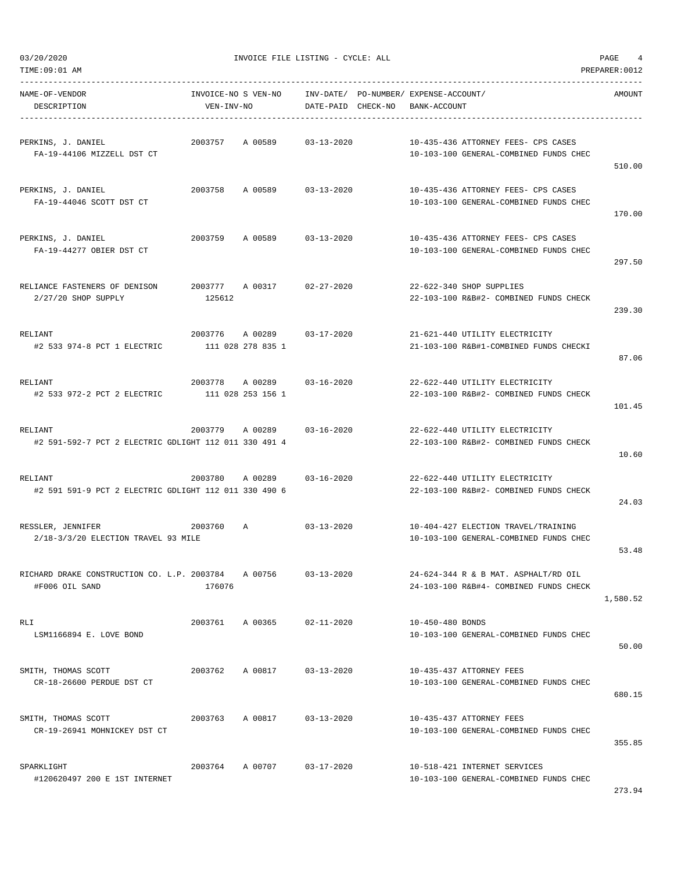TIME:09:01 AM PREPARER:0012

03/20/2020 INVOICE FILE LISTING - CYCLE: ALL PAGE 4

----------------------------------------------------------------------------------------------------------------------------------- NAME-OF-VENDOR INVOICE-NO S VEN-NO INV-DATE/ PO-NUMBER/ EXPENSE-ACCOUNT/ AMOUNT

| DESCRIPTION                                                      | VEN-INV-NO |                                                 | DATE-PAID CHECK-NO | BANK-ACCOUNT                                                                   |          |
|------------------------------------------------------------------|------------|-------------------------------------------------|--------------------|--------------------------------------------------------------------------------|----------|
| PERKINS, J. DANIEL<br>FA-19-44106 MIZZELL DST CT                 | 2003757    | A 00589                                         | $03 - 13 - 2020$   | 10-435-436 ATTORNEY FEES- CPS CASES<br>10-103-100 GENERAL-COMBINED FUNDS CHEC  | 510.00   |
| PERKINS, J. DANIEL<br>FA-19-44046 SCOTT DST CT                   | 2003758    | A 00589 03-13-2020                              |                    | 10-435-436 ATTORNEY FEES- CPS CASES<br>10-103-100 GENERAL-COMBINED FUNDS CHEC  | 170.00   |
| PERKINS, J. DANIEL<br>FA-19-44277 OBIER DST CT                   | 2003759    | A 00589                                         | $03 - 13 - 2020$   | 10-435-436 ATTORNEY FEES- CPS CASES<br>10-103-100 GENERAL-COMBINED FUNDS CHEC  | 297.50   |
| RELIANCE FASTENERS OF DENISON<br>2/27/20 SHOP SUPPLY             | 125612     | 2003777 A 00317                                 | 02-27-2020         | 22-622-340 SHOP SUPPLIES<br>22-103-100 R&B#2- COMBINED FUNDS CHECK             | 239.30   |
| RELIANT<br>#2 533 974-8 PCT 1 ELECTRIC                           |            | 2003776 A 00289 03-17-2020<br>111 028 278 835 1 |                    | 21-621-440 UTILITY ELECTRICITY<br>21-103-100 R&B#1-COMBINED FUNDS CHECKI       | 87.06    |
| RELIANT<br>#2 533 972-2 PCT 2 ELECTRIC 111 028 253 156 1         |            | 2003778 A 00289 03-16-2020                      |                    | 22-622-440 UTILITY ELECTRICITY<br>22-103-100 R&B#2- COMBINED FUNDS CHECK       | 101.45   |
| RELIANT<br>#2 591-592-7 PCT 2 ELECTRIC GDLIGHT 112 011 330 491 4 | 2003779    | A 00289                                         | $03 - 16 - 2020$   | 22-622-440 UTILITY ELECTRICITY<br>22-103-100 R&B#2- COMBINED FUNDS CHECK       | 10.60    |
| RELIANT<br>#2 591 591-9 PCT 2 ELECTRIC GDLIGHT 112 011 330 490 6 |            | 2003780 A 00289                                 | 03-16-2020         | 22-622-440 UTILITY ELECTRICITY<br>22-103-100 R&B#2- COMBINED FUNDS CHECK       | 24.03    |
| RESSLER, JENNIFER<br>2/18-3/3/20 ELECTION TRAVEL 93 MILE         | 2003760    | A                                               | $03 - 13 - 2020$   | 10-404-427 ELECTION TRAVEL/TRAINING<br>10-103-100 GENERAL-COMBINED FUNDS CHEC  | 53.48    |
| RICHARD DRAKE CONSTRUCTION CO. L.P. 2003784<br>#F006 OIL SAND    | 176076     | A 00756                                         | 03-13-2020         | 24-624-344 R & B MAT. ASPHALT/RD OIL<br>24-103-100 R&B#4- COMBINED FUNDS CHECK | 1,580.52 |
| RLI<br>LSM1166894 E. LOVE BOND                                   | 2003761    | A 00365                                         | $02 - 11 - 2020$   | 10-450-480 BONDS<br>10-103-100 GENERAL-COMBINED FUNDS CHEC                     | 50.00    |
| SMITH, THOMAS SCOTT<br>CR-18-26600 PERDUE DST CT                 | 2003762    | A 00817                                         | $03 - 13 - 2020$   | 10-435-437 ATTORNEY FEES<br>10-103-100 GENERAL-COMBINED FUNDS CHEC             | 680.15   |
| SMITH, THOMAS SCOTT<br>CR-19-26941 MOHNICKEY DST CT              | 2003763    | A 00817                                         | $03 - 13 - 2020$   | 10-435-437 ATTORNEY FEES<br>10-103-100 GENERAL-COMBINED FUNDS CHEC             | 355.85   |
| SPARKLIGHT<br>#120620497 200 E 1ST INTERNET                      | 2003764    | A 00707                                         | $03 - 17 - 2020$   | 10-518-421 INTERNET SERVICES<br>10-103-100 GENERAL-COMBINED FUNDS CHEC         | 273.94   |
|                                                                  |            |                                                 |                    |                                                                                |          |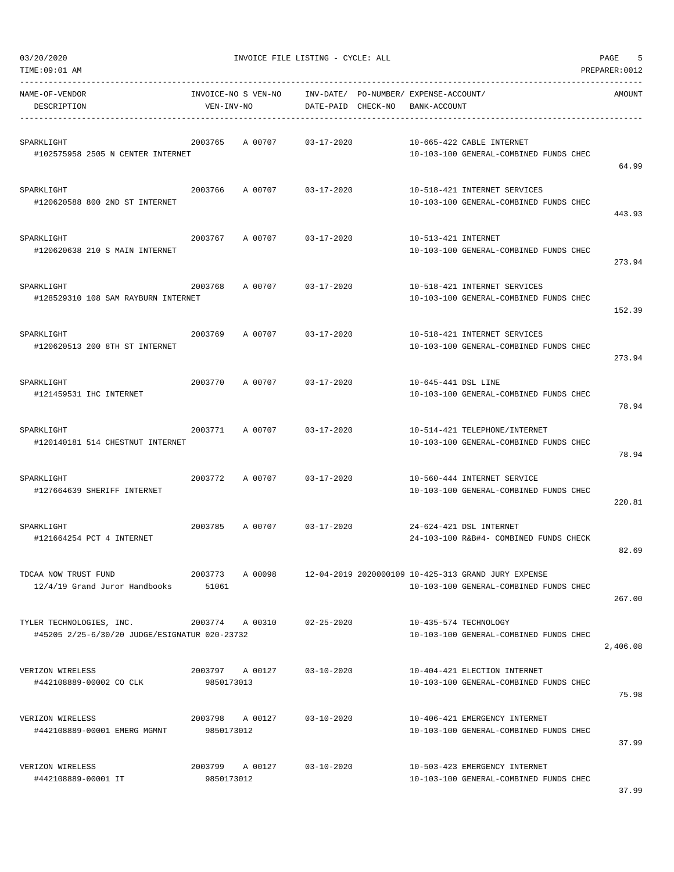| TIME:09:01 AM                                                             |                                   |         |                            |          |                                             |                                                                                               | PREPARER: 0012 |
|---------------------------------------------------------------------------|-----------------------------------|---------|----------------------------|----------|---------------------------------------------|-----------------------------------------------------------------------------------------------|----------------|
| NAME-OF-VENDOR<br>DESCRIPTION                                             | INVOICE-NO S VEN-NO<br>VEN-INV-NO |         | INV-DATE/<br>DATE-PAID     | CHECK-NO | PO-NUMBER/ EXPENSE-ACCOUNT/<br>BANK-ACCOUNT | AMOUNT                                                                                        |                |
| SPARKLIGHT<br>#102575958 2505 N CENTER INTERNET                           | 2003765                           | A 00707 | $03 - 17 - 2020$           |          |                                             | 10-665-422 CABLE INTERNET<br>10-103-100 GENERAL-COMBINED FUNDS CHEC                           | 64.99          |
| SPARKLIGHT<br>#120620588 800 2ND ST INTERNET                              | 2003766                           | A 00707 | $03 - 17 - 2020$           |          |                                             | 10-518-421 INTERNET SERVICES<br>10-103-100 GENERAL-COMBINED FUNDS CHEC                        | 443.93         |
| SPARKLIGHT<br>#120620638 210 S MAIN INTERNET                              | 2003767                           | A 00707 | $03 - 17 - 2020$           |          | 10-513-421 INTERNET                         | 10-103-100 GENERAL-COMBINED FUNDS CHEC                                                        | 273.94         |
| SPARKLIGHT<br>#128529310 108 SAM RAYBURN INTERNET                         | 2003768                           | A 00707 | $03 - 17 - 2020$           |          |                                             | 10-518-421 INTERNET SERVICES<br>10-103-100 GENERAL-COMBINED FUNDS CHEC                        | 152.39         |
| SPARKLIGHT<br>#120620513 200 8TH ST INTERNET                              | 2003769                           | A 00707 | $03 - 17 - 2020$           |          |                                             | 10-518-421 INTERNET SERVICES<br>10-103-100 GENERAL-COMBINED FUNDS CHEC                        | 273.94         |
| SPARKLIGHT<br>#121459531 IHC INTERNET                                     | 2003770                           | A 00707 | $03 - 17 - 2020$           |          | 10-645-441 DSL LINE                         | 10-103-100 GENERAL-COMBINED FUNDS CHEC                                                        | 78.94          |
| SPARKLIGHT<br>#120140181 514 CHESTNUT INTERNET                            | 2003771                           | A 00707 | $03 - 17 - 2020$           |          |                                             | 10-514-421 TELEPHONE/INTERNET<br>10-103-100 GENERAL-COMBINED FUNDS CHEC                       | 78.94          |
| SPARKLIGHT<br>#127664639 SHERIFF INTERNET                                 | 2003772                           | A 00707 | $03 - 17 - 2020$           |          |                                             | 10-560-444 INTERNET SERVICE<br>10-103-100 GENERAL-COMBINED FUNDS CHEC                         | 220.81         |
| SPARKLIGHT<br>#121664254 PCT 4 INTERNET                                   | 2003785                           | A 00707 | $03 - 17 - 2020$           |          |                                             | 24-624-421 DSL INTERNET<br>24-103-100 R&B#4- COMBINED FUNDS CHECK                             | 82.69          |
| TDCAA NOW TRUST FUND<br>12/4/19 Grand Juror Handbooks                     | 2003773<br>51061                  | A 00098 |                            |          |                                             | 12-04-2019 2020000109 10-425-313 GRAND JURY EXPENSE<br>10-103-100 GENERAL-COMBINED FUNDS CHEC | 267.00         |
| TYLER TECHNOLOGIES, INC.<br>#45205 2/25-6/30/20 JUDGE/ESIGNATUR 020-23732 |                                   |         | 2003774 A 00310 02-25-2020 |          |                                             | 10-435-574 TECHNOLOGY<br>10-103-100 GENERAL-COMBINED FUNDS CHEC                               | 2,406.08       |
| VERIZON WIRELESS<br>#442108889-00002 CO CLK                               | 2003797 A 00127<br>9850173013     |         | $03 - 10 - 2020$           |          |                                             | 10-404-421 ELECTION INTERNET<br>10-103-100 GENERAL-COMBINED FUNDS CHEC                        | 75.98          |
| VERIZON WIRELESS<br>#442108889-00001 EMERG MGMNT                          | 2003798 A 00127<br>9850173012     |         | $03 - 10 - 2020$           |          |                                             | 10-406-421 EMERGENCY INTERNET<br>10-103-100 GENERAL-COMBINED FUNDS CHEC                       | 37.99          |
| VERIZON WIRELESS<br>#442108889-00001 IT                                   | 2003799 A 00127<br>9850173012     |         | $03 - 10 - 2020$           |          |                                             | 10-503-423 EMERGENCY INTERNET<br>10-103-100 GENERAL-COMBINED FUNDS CHEC                       | 37.99          |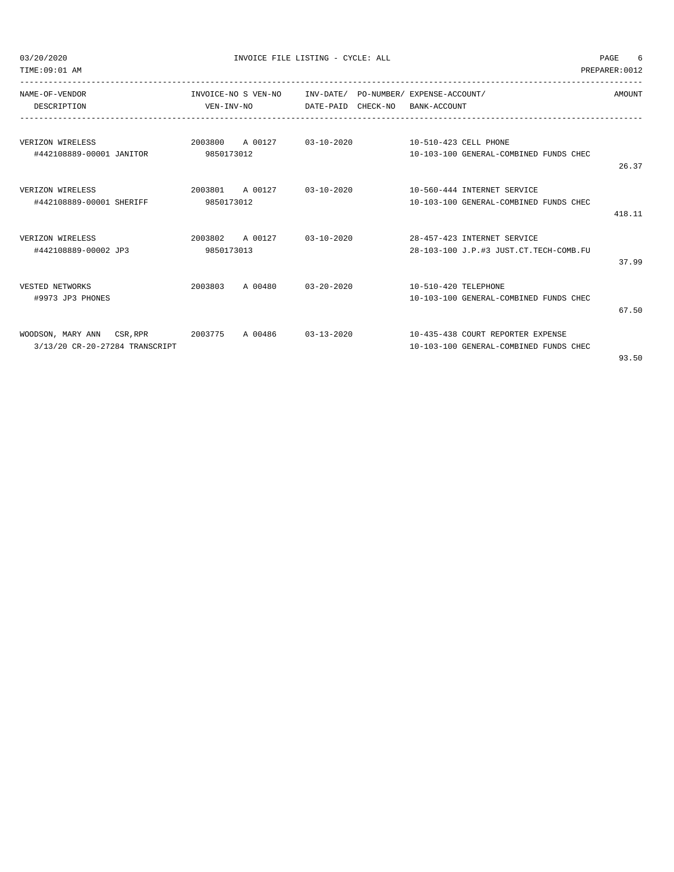03/20/2020 INVOICE FILE LISTING - CYCLE: ALL PAGE 6

TIME:09:01 AM PREPARER:0012

| NAME-OF-VENDOR                     |                 | INVOICE-NO S VEN-NO |                  | INV-DATE/ PO-NUMBER/ EXPENSE-ACCOUNT/ |                      |                                        | AMOUNT |
|------------------------------------|-----------------|---------------------|------------------|---------------------------------------|----------------------|----------------------------------------|--------|
| DESCRIPTION                        | VEN-INV-NO      |                     | DATE-PAID        | CHECK-NO                              | BANK-ACCOUNT         |                                        |        |
|                                    |                 |                     |                  |                                       |                      |                                        |        |
| VERIZON WIRELESS                   | 2003800         | A 00127             | $03 - 10 - 2020$ |                                       |                      | 10-510-423 CELL PHONE                  |        |
| #442108889-00001 JANITOR           | 9850173012      |                     |                  |                                       |                      | 10-103-100 GENERAL-COMBINED FUNDS CHEC |        |
|                                    |                 |                     |                  |                                       |                      |                                        | 26.37  |
| VERIZON WIRELESS                   | 2003801         | A 00127             | $03 - 10 - 2020$ |                                       |                      | 10-560-444 INTERNET SERVICE            |        |
| #442108889-00001 SHERIFF           | 9850173012      |                     |                  |                                       |                      | 10-103-100 GENERAL-COMBINED FUNDS CHEC |        |
|                                    |                 |                     |                  |                                       |                      |                                        | 418.11 |
| VERIZON WIRELESS                   | 2003802 A 00127 |                     | $03 - 10 - 2020$ |                                       |                      | 28-457-423 INTERNET SERVICE            |        |
| #442108889-00002 JP3               | 9850173013      |                     |                  |                                       |                      | 28-103-100 J.P.#3 JUST.CT.TECH-COMB.FU |        |
|                                    |                 |                     |                  |                                       |                      |                                        | 37.99  |
| VESTED NETWORKS                    | 2003803         | A 00480             | $03 - 20 - 2020$ |                                       | 10-510-420 TELEPHONE |                                        |        |
| #9973 JP3 PHONES                   |                 |                     |                  |                                       |                      | 10-103-100 GENERAL-COMBINED FUNDS CHEC |        |
|                                    |                 |                     |                  |                                       |                      |                                        | 67.50  |
| WOODSON, MARY ANN CSR, RPR 2003775 |                 | A 00486             | $03 - 13 - 2020$ |                                       |                      | 10-435-438 COURT REPORTER EXPENSE      |        |
| 3/13/20 CR-20-27284 TRANSCRIPT     |                 |                     |                  |                                       |                      | 10-103-100 GENERAL-COMBINED FUNDS CHEC |        |
|                                    |                 |                     |                  |                                       |                      |                                        | 93.50  |